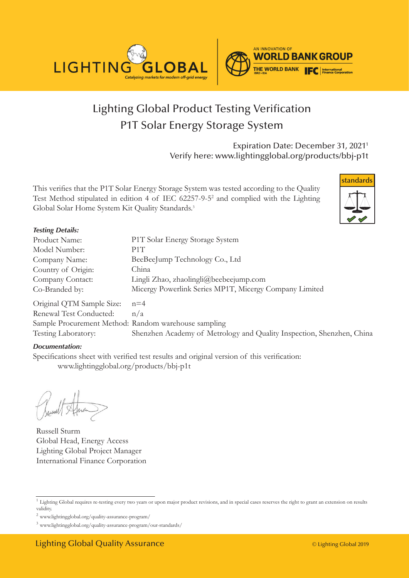



## Lighting Global Product Testing Verification P1T Solar Energy Storage System

Expiration Date: December 31, 20211 Verify here: www.lightingglobal.org/products/bbj-p1t

This verifies that the P1T Solar Energy Storage System was tested according to the Quality Test Method stipulated in edition 4 of IEC 62257-9-52 and complied with the Lighting Global Solar Home System Kit Quality Standards.<sup>3</sup>



#### **Testing Details:**

| Product Name:             | P1T Solar Energy Storage System                                       |
|---------------------------|-----------------------------------------------------------------------|
| Model Number:             | P1T                                                                   |
| Company Name:             | BeeBeeJump Technology Co., Ltd                                        |
| Country of Origin:        | China                                                                 |
| Company Contact:          | Lingli Zhao, zhaolingli@beebeejump.com                                |
| Co-Branded by:            | Micergy Powerlink Series MP1T, Micergy Company Limited                |
| Original QTM Sample Size: | $n=4$                                                                 |
| Renewal Test Conducted:   | n/a                                                                   |
|                           | Sample Procurement Method: Random warehouse sampling                  |
| Testing Laboratory:       | Shenzhen Academy of Metrology and Quality Inspection, Shenzhen, China |

#### *Documentation:*

Specifications sheet with verified test results and original version of this verification: www.lightingglobal.org/products/bbj-p1t

Russell Sturm Global Head, Energy Access Lighting Global Project Manager International Finance Corporation

<sup>&</sup>lt;sup>1</sup> Lighting Global requires re-testing every two years or upon major product revisions, and in special cases reserves the right to grant an extension on results validity.

 $^2$ www.lightingglobal.org/quality-assurance-program/  $\,$ 

<sup>3</sup> www.lightingglobal.org/quality-assurance-program/our-standards/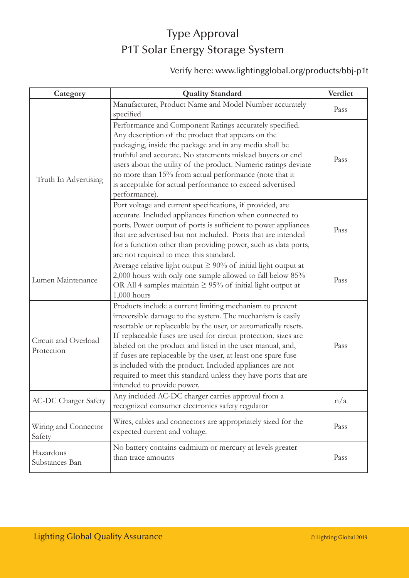## Type Approval P1T Solar Energy Storage System

### Verify here: www.lightingglobal.org/products/bbj-p1t

| Category                           | <b>Quality Standard</b>                                                                                                                                                                                                                                                                                                                                                                                                                                                                                                                                  | Verdict |
|------------------------------------|----------------------------------------------------------------------------------------------------------------------------------------------------------------------------------------------------------------------------------------------------------------------------------------------------------------------------------------------------------------------------------------------------------------------------------------------------------------------------------------------------------------------------------------------------------|---------|
| Truth In Advertising               | Manufacturer, Product Name and Model Number accurately<br>specified                                                                                                                                                                                                                                                                                                                                                                                                                                                                                      | Pass    |
|                                    | Performance and Component Ratings accurately specified.<br>Any description of the product that appears on the<br>packaging, inside the package and in any media shall be<br>truthful and accurate. No statements mislead buyers or end<br>users about the utility of the product. Numeric ratings deviate<br>no more than 15% from actual performance (note that it<br>is acceptable for actual performance to exceed advertised<br>performance).                                                                                                        | Pass    |
|                                    | Port voltage and current specifications, if provided, are<br>accurate. Included appliances function when connected to<br>ports. Power output of ports is sufficient to power appliances<br>that are advertised but not included. Ports that are intended<br>for a function other than providing power, such as data ports,<br>are not required to meet this standard.                                                                                                                                                                                    | Pass    |
| Lumen Maintenance                  | Average relative light output $\geq 90\%$ of initial light output at<br>2,000 hours with only one sample allowed to fall below 85%<br>OR All 4 samples maintain $\geq$ 95% of initial light output at<br>$1,000$ hours                                                                                                                                                                                                                                                                                                                                   | Pass    |
| Circuit and Overload<br>Protection | Products include a current limiting mechanism to prevent<br>irreversible damage to the system. The mechanism is easily<br>resettable or replaceable by the user, or automatically resets.<br>If replaceable fuses are used for circuit protection, sizes are<br>labeled on the product and listed in the user manual, and,<br>if fuses are replaceable by the user, at least one spare fuse<br>is included with the product. Included appliances are not<br>required to meet this standard unless they have ports that are<br>intended to provide power. | Pass    |
| <b>AC-DC Charger Safety</b>        | Any included AC-DC charger carries approval from a<br>recognized consumer electronics safety regulator                                                                                                                                                                                                                                                                                                                                                                                                                                                   | n/a     |
| Wiring and Connector<br>Safety     | Wires, cables and connectors are appropriately sized for the<br>expected current and voltage.                                                                                                                                                                                                                                                                                                                                                                                                                                                            | Pass    |
| Hazardous<br>Substances Ban        | No battery contains cadmium or mercury at levels greater<br>than trace amounts                                                                                                                                                                                                                                                                                                                                                                                                                                                                           | Pass    |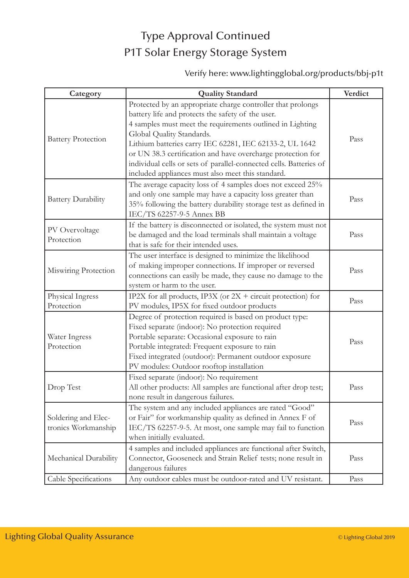### Type Approval Continued P1T Solar Energy Storage System

### Verify here: www.lightingglobal.org/products/bbj-p1t

| Category                                   | <b>Quality Standard</b>                                                                                                                                                                                                                                                                                                                                                                                                                                         | Verdict |
|--------------------------------------------|-----------------------------------------------------------------------------------------------------------------------------------------------------------------------------------------------------------------------------------------------------------------------------------------------------------------------------------------------------------------------------------------------------------------------------------------------------------------|---------|
| <b>Battery Protection</b>                  | Protected by an appropriate charge controller that prolongs<br>battery life and protects the safety of the user.<br>4 samples must meet the requirements outlined in Lighting<br>Global Quality Standards.<br>Lithium batteries carry IEC 62281, IEC 62133-2, UL 1642<br>or UN 38.3 certification and have overcharge protection for<br>individual cells or sets of parallel-connected cells. Batteries of<br>included appliances must also meet this standard. | Pass    |
| <b>Battery Durability</b>                  | The average capacity loss of 4 samples does not exceed 25%<br>and only one sample may have a capacity loss greater than<br>35% following the battery durability storage test as defined in<br>IEC/TS 62257-9-5 Annex BB                                                                                                                                                                                                                                         | Pass    |
| PV Overvoltage<br>Protection               | If the battery is disconnected or isolated, the system must not<br>be damaged and the load terminals shall maintain a voltage<br>that is safe for their intended uses.                                                                                                                                                                                                                                                                                          | Pass    |
| Miswiring Protection                       | The user interface is designed to minimize the likelihood<br>of making improper connections. If improper or reversed<br>connections can easily be made, they cause no damage to the<br>system or harm to the user.                                                                                                                                                                                                                                              | Pass    |
| Physical Ingress<br>Protection             | IP2X for all products, IP3X (or $2X +$ circuit protection) for<br>PV modules, IP5X for fixed outdoor products                                                                                                                                                                                                                                                                                                                                                   | Pass    |
| Water Ingress<br>Protection                | Degree of protection required is based on product type:<br>Fixed separate (indoor): No protection required<br>Portable separate: Occasional exposure to rain<br>Portable integrated: Frequent exposure to rain<br>Fixed integrated (outdoor): Permanent outdoor exposure<br>PV modules: Outdoor rooftop installation                                                                                                                                            | Pass    |
| Drop Test                                  | Fixed separate (indoor): No requirement<br>All other products: All samples are functional after drop test;<br>none result in dangerous failures.                                                                                                                                                                                                                                                                                                                | Pass    |
| Soldering and Elec-<br>tronics Workmanship | The system and any included appliances are rated "Good"<br>or Fair" for workmanship quality as defined in Annex F of<br>IEC/TS 62257-9-5. At most, one sample may fail to function<br>when initially evaluated.                                                                                                                                                                                                                                                 | Pass    |
| Mechanical Durability                      | 4 samples and included appliances are functional after Switch,<br>Connector, Gooseneck and Strain Relief tests; none result in<br>dangerous failures                                                                                                                                                                                                                                                                                                            | Pass    |
| Cable Specifications                       | Any outdoor cables must be outdoor-rated and UV resistant.                                                                                                                                                                                                                                                                                                                                                                                                      | Pass    |